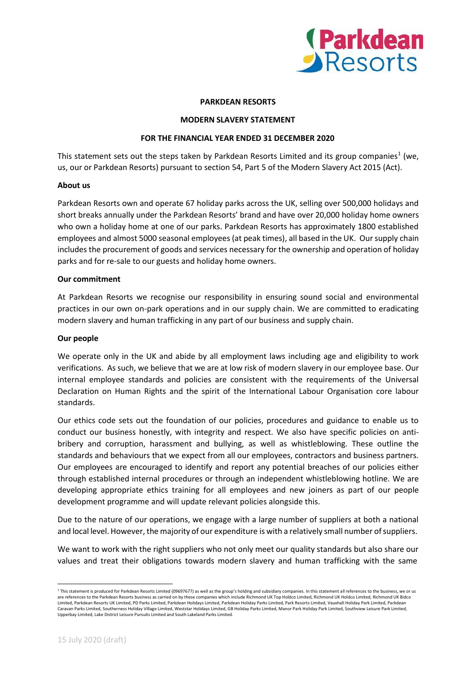

# **PARKDEAN RESORTS**

### **MODERN SLAVERY STATEMENT**

# **FOR THE FINANCIAL YEAR ENDED 31 DECEMBER 2020**

This statement sets out the steps taken by Parkdean Resorts Limited and its group companies<sup>1</sup> (we, us, our or Parkdean Resorts) pursuant to section 54, Part 5 of the Modern Slavery Act 2015 (Act).

# **About us**

Parkdean Resorts own and operate 67 holiday parks across the UK, selling over 500,000 holidays and short breaks annually under the Parkdean Resorts' brand and have over 20,000 holiday home owners who own a holiday home at one of our parks. Parkdean Resorts has approximately 1800 established employees and almost 5000 seasonal employees(at peak times), all based in the UK. Oursupply chain includes the procurement of goods and services necessary for the ownership and operation of holiday parks and for re-sale to our guests and holiday home owners.

# **Our commitment**

At Parkdean Resorts we recognise our responsibility in ensuring sound social and environmental practices in our own on-park operations and in our supply chain. We are committed to eradicating modern slavery and human trafficking in any part of our business and supply chain.

### **Our people**

We operate only in the UK and abide by all employment laws including age and eligibility to work verifications. As such, we believe that we are at low risk of modern slavery in our employee base. Our internal employee standards and policies are consistent with the requirements of the Universal Declaration on Human Rights and the spirit of the International Labour Organisation core labour standards.

Our ethics code sets out the foundation of our policies, procedures and guidance to enable us to conduct our business honestly, with integrity and respect. We also have specific policies on antibribery and corruption, harassment and bullying, as well as whistleblowing. These outline the standards and behaviours that we expect from all our employees, contractors and business partners. Our employees are encouraged to identify and report any potential breaches of our policies either through established internal procedures or through an independent whistleblowing hotline. We are developing appropriate ethics training for all employees and new joiners as part of our people development programme and will update relevant policies alongside this.

Due to the nature of our operations, we engage with a large number of suppliers at both a national and local level. However, the majority of our expenditure is with a relatively small number ofsuppliers.

We want to work with the right suppliers who not only meet our quality standards but also share our values and treat their obligations towards modern slavery and human trafficking with the same

<sup>&</sup>lt;sup>1</sup> This statement is produced for Parkdean Resorts Limited (09697677) as well as the group's holding and subsidiary companies. In this statement all references to the business, we or us are references to the Parkdean Resorts business as carried on by these companies which include Richmond UK Top Holdco Limited, Richmond UK Holdco Limited, Richmond UK Bidco Limited, Parkdean Resorts UK Limited, PD Parks Limited, Parkdean Holidays Limited, Parkdean Holiday Parks Limited, Park Resorts Limited, Vauxhall Holiday Park Limited, Parkdean Caravan Parks Limited, Southerness Holiday Village Limited, Weststar Holidays Limited, GB Holiday Parks Limited, Manor Park Holiday Park Limited, Southview Leisure Park Limited, Upperbay Limited, Lake District Leisure Pursuits Limited and South Lakeland Parks Limited.